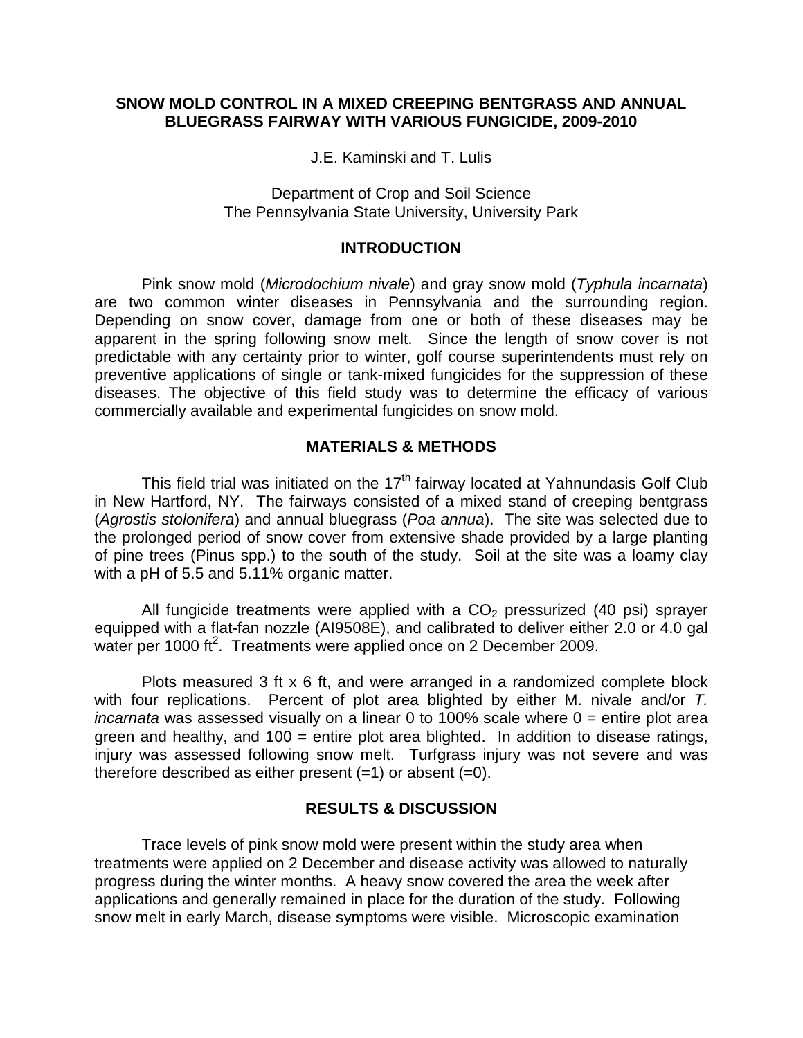### **SNOW MOLD CONTROL IN A MIXED CREEPING BENTGRASS AND ANNUAL BLUEGRASS FAIRWAY WITH VARIOUS FUNGICIDE, 2009-2010**

J.E. Kaminski and T. Lulis

Department of Crop and Soil Science The Pennsylvania State University, University Park

#### **INTRODUCTION**

Pink snow mold (*Microdochium nivale*) and gray snow mold (*Typhula incarnata*) are two common winter diseases in Pennsylvania and the surrounding region. Depending on snow cover, damage from one or both of these diseases may be apparent in the spring following snow melt. Since the length of snow cover is not predictable with any certainty prior to winter, golf course superintendents must rely on preventive applications of single or tank-mixed fungicides for the suppression of these diseases. The objective of this field study was to determine the efficacy of various commercially available and experimental fungicides on snow mold.

## **MATERIALS & METHODS**

This field trial was initiated on the  $17<sup>th</sup>$  fairway located at Yahnundasis Golf Club in New Hartford, NY. The fairways consisted of a mixed stand of creeping bentgrass (*Agrostis stolonifera*) and annual bluegrass (*Poa annua*). The site was selected due to the prolonged period of snow cover from extensive shade provided by a large planting of pine trees (Pinus spp.) to the south of the study. Soil at the site was a loamy clay with a pH of 5.5 and 5.11% organic matter.

All fungicide treatments were applied with a  $CO<sub>2</sub>$  pressurized (40 psi) sprayer equipped with a flat-fan nozzle (AI9508E), and calibrated to deliver either 2.0 or 4.0 gal water per 1000 ft<sup>2</sup>. Treatments were applied once on 2 December 2009.

Plots measured 3 ft x 6 ft, and were arranged in a randomized complete block with four replications. Percent of plot area blighted by either M. nivale and/or *T. incarnata* was assessed visually on a linear 0 to 100% scale where 0 = entire plot area green and healthy, and  $100 =$  entire plot area blighted. In addition to disease ratings, injury was assessed following snow melt. Turfgrass injury was not severe and was therefore described as either present  $(=1)$  or absent  $(=0)$ .

# **RESULTS & DISCUSSION**

Trace levels of pink snow mold were present within the study area when treatments were applied on 2 December and disease activity was allowed to naturally progress during the winter months. A heavy snow covered the area the week after applications and generally remained in place for the duration of the study. Following snow melt in early March, disease symptoms were visible. Microscopic examination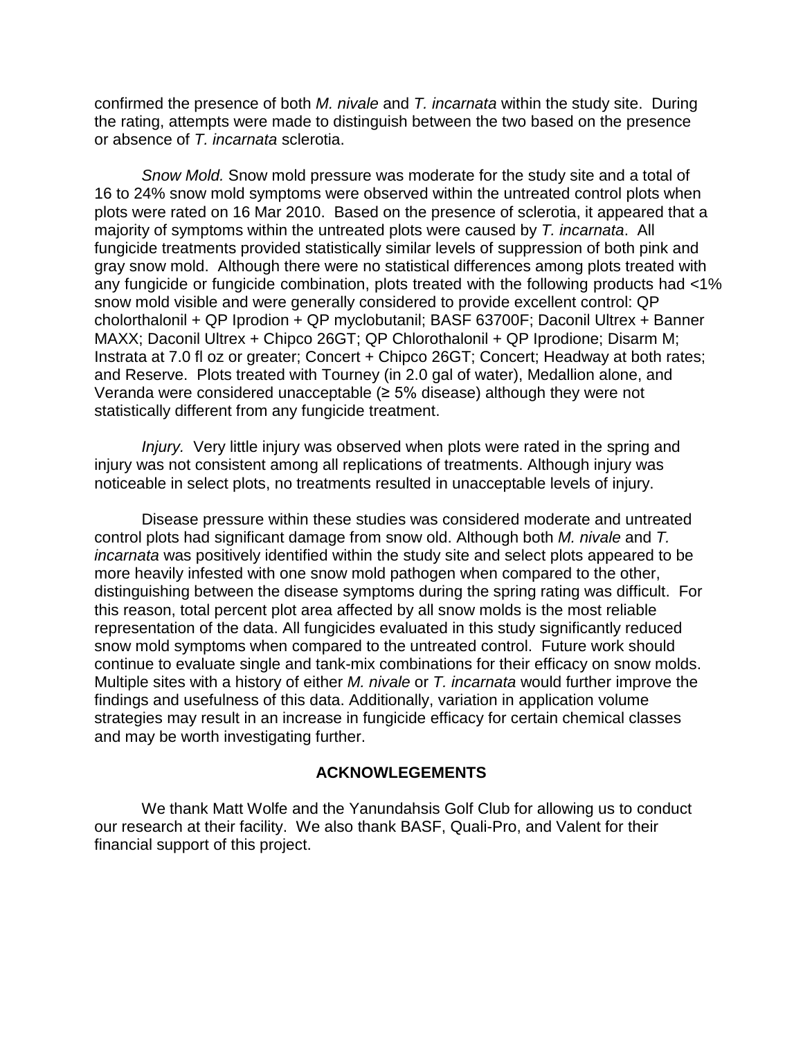confirmed the presence of both *M. nivale* and *T. incarnata* within the study site. During the rating, attempts were made to distinguish between the two based on the presence or absence of *T. incarnata* sclerotia.

*Snow Mold.* Snow mold pressure was moderate for the study site and a total of 16 to 24% snow mold symptoms were observed within the untreated control plots when plots were rated on 16 Mar 2010. Based on the presence of sclerotia, it appeared that a majority of symptoms within the untreated plots were caused by *T. incarnata*. All fungicide treatments provided statistically similar levels of suppression of both pink and gray snow mold. Although there were no statistical differences among plots treated with any fungicide or fungicide combination, plots treated with the following products had <1% snow mold visible and were generally considered to provide excellent control: QP cholorthalonil + QP Iprodion + QP myclobutanil; BASF 63700F; Daconil Ultrex + Banner MAXX; Daconil Ultrex + Chipco 26GT; QP Chlorothalonil + QP Iprodione; Disarm M; Instrata at 7.0 fl oz or greater; Concert + Chipco 26GT; Concert; Headway at both rates; and Reserve. Plots treated with Tourney (in 2.0 gal of water), Medallion alone, and Veranda were considered unacceptable  $(≥ 5%$  disease) although they were not statistically different from any fungicide treatment.

*Injury.* Very little injury was observed when plots were rated in the spring and injury was not consistent among all replications of treatments. Although injury was noticeable in select plots, no treatments resulted in unacceptable levels of injury.

Disease pressure within these studies was considered moderate and untreated control plots had significant damage from snow old. Although both *M. nivale* and *T. incarnata* was positively identified within the study site and select plots appeared to be more heavily infested with one snow mold pathogen when compared to the other, distinguishing between the disease symptoms during the spring rating was difficult. For this reason, total percent plot area affected by all snow molds is the most reliable representation of the data. All fungicides evaluated in this study significantly reduced snow mold symptoms when compared to the untreated control. Future work should continue to evaluate single and tank-mix combinations for their efficacy on snow molds. Multiple sites with a history of either *M. nivale* or *T. incarnata* would further improve the findings and usefulness of this data. Additionally, variation in application volume strategies may result in an increase in fungicide efficacy for certain chemical classes and may be worth investigating further.

## **ACKNOWLEGEMENTS**

We thank Matt Wolfe and the Yanundahsis Golf Club for allowing us to conduct our research at their facility. We also thank BASF, Quali-Pro, and Valent for their financial support of this project.